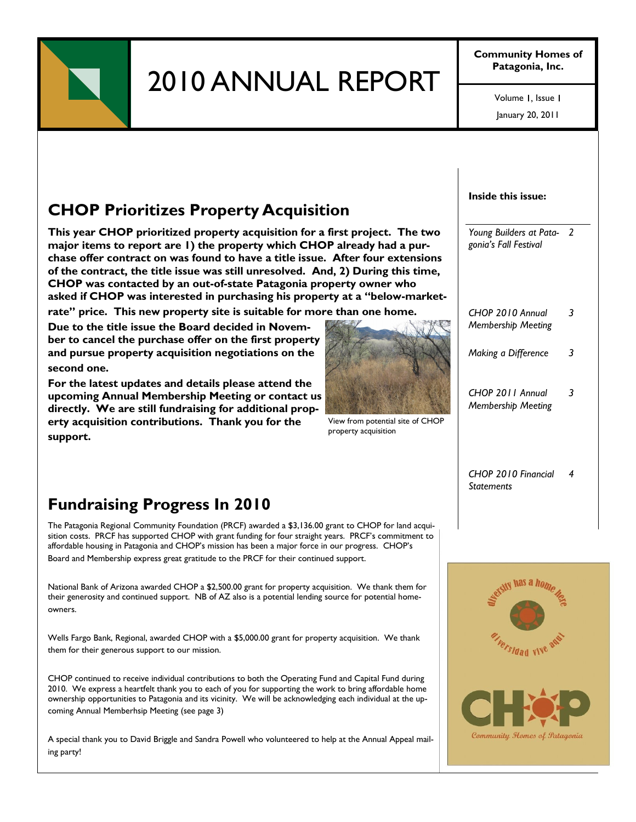

# 2010 ANNUAL REPORT

**Community Homes of Patagonia, Inc.**

> January 20, 2011 Volume 1, Issue 1

# **CHOP Prioritizes Property Acquisition**

**This year CHOP prioritized property acquisition for a first project. The two major items to report are 1) the property which CHOP already had a purchase offer contract on was found to have a title issue. After four extensions of the contract, the title issue was still unresolved. And, 2) During this time, CHOP was contacted by an out-of-state Patagonia property owner who asked if CHOP was interested in purchasing his property at a "below-market-**

**rate" price. This new property site is suitable for more than one home.** 

**Due to the title issue the Board decided in November to cancel the purchase offer on the first property and pursue property acquisition negotiations on the second one.** 

**For the latest updates and details please attend the upcoming Annual Membership Meeting or contact us directly. We are still fundraising for additional property acquisition contributions. Thank you for the support.** 



View from potential site of CHOP property acquisition

#### **Inside this issue:**

*Young Builders at Pata-2 gonia's Fall Festival*

- *CHOP 2010 Annual Membership Meeting 3 Making a Difference 3*
- *CHOP 2011 Annual Membership Meeting 3*

*CHOP 2010 Financial Statements 4*

## **Fundraising Progress In 2010**

The Patagonia Regional Community Foundation (PRCF) awarded a \$3,136.00 grant to CHOP for land acquisition costs. PRCF has supported CHOP with grant funding for four straight years. PRCF's commitment to affordable housing in Patagonia and CHOP's mission has been a major force in our progress. CHOP's Board and Membership express great gratitude to the PRCF for their continued support.

National Bank of Arizona awarded CHOP a \$2,500.00 grant for property acquisition. We thank them for their generosity and continued support. NB of AZ also is a potential lending source for potential homeowners.

Wells Fargo Bank, Regional, awarded CHOP with a \$5,000.00 grant for property acquisition. We thank them for their generous support to our mission.

CHOP continued to receive individual contributions to both the Operating Fund and Capital Fund during 2010. We express a heartfelt thank you to each of you for supporting the work to bring affordable home ownership opportunities to Patagonia and its vicinity. We will be acknowledging each individual at the upcoming Annual Memberhsip Meeting (see page 3)

A special thank you to David Briggle and Sandra Powell who volunteered to help at the Annual Appeal mailing party!

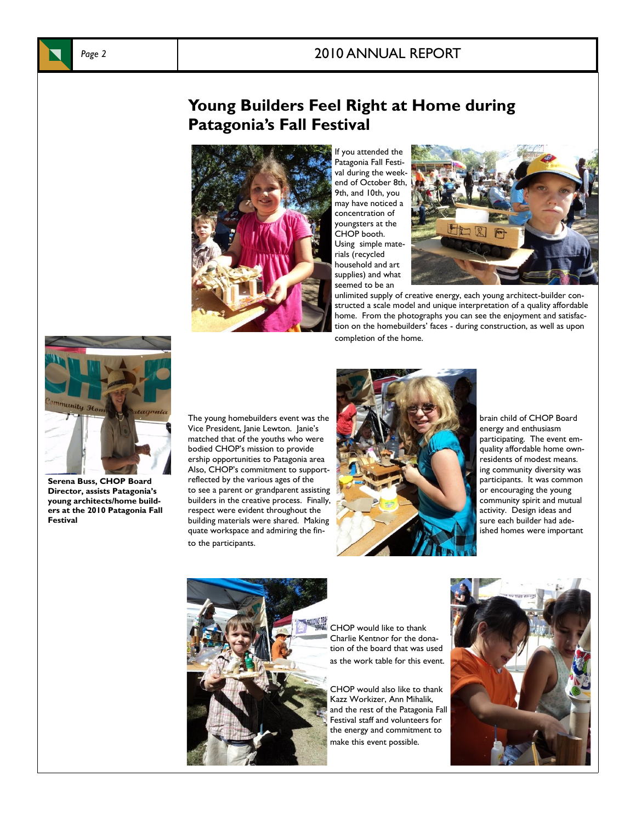## Page 2 2010 ANNUAL REPORT





If you attended the Patagonia Fall Festival during the weekend of October 8th, 9th, and 10th, you may have noticed a concentration of youngsters at the CHOP booth. Using simple materials (recycled household and art supplies) and what seemed to be an



unlimited supply of creative energy, each young architect-builder constructed a scale model and unique interpretation of a quality affordable home. From the photographs you can see the enjoyment and satisfaction on the homebuilders' faces - during construction, as well as upon completion of the home.



**Serena Buss, CHOP Board Director, assists Patagonia's young architects/home builders at the 2010 Patagonia Fall Festival**

Vice President, Janie Lewton. Janie's energy and enthusiasm energy and enthusiasm energy and enthusiasm energy and enthusiasm energy and enthusiasm energy and enthusiasm energy and enthusiasm energy and enthusiasm energy a matched that of the youths who were bodied CHOP's mission to provide quality affordable home ownership opportunities to Patagonia area residents of modest means. Also, CHOP's commitment to support- ing Community diversity was reflected by the various ages of the state of the state of the state of the state of the state of the state of the state of the state of the state of the stat reflected by the various ages of the to see a parent or grandparent assisting the set of the set of the set of the young builders in the creative process. Finally,  $\frac{1}{2}$  and  $\frac{1}{2}$  community spirit and mutual respect were evident throughout the activity. Design ideas and building materials were shared. Making sure sure sure and builder had adequate workspace and admiring the finto the participants.





CHOP would like to thank Charlie Kentnor for the donation of the board that was used as the work table for this event.

CHOP would also like to thank Kazz Workizer, Ann Mihalik, and the rest of the Patagonia Fall Festival staff and volunteers for the energy and commitment to make this event possible.



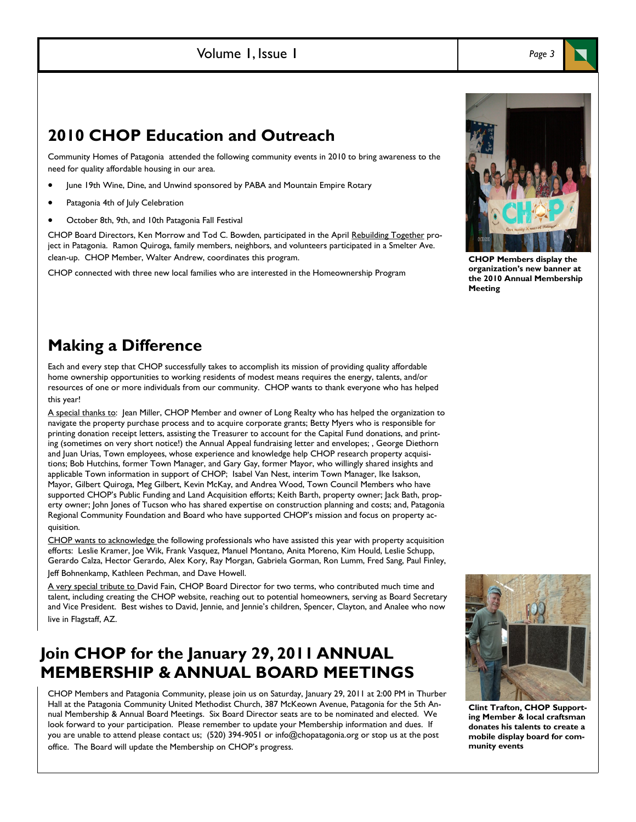### Volume 1, Issue 1

## **2010 CHOP Education and Outreach**

Community Homes of Patagonia attended the following community events in 2010 to bring awareness to the need for quality affordable housing in our area.

- June 19th Wine, Dine, and Unwind sponsored by PABA and Mountain Empire Rotary
- Patagonia 4th of July Celebration
- October 8th, 9th, and 10th Patagonia Fall Festival

CHOP Board Directors, Ken Morrow and Tod C. Bowden, participated in the April Rebuilding Together project in Patagonia. Ramon Quiroga, family members, neighbors, and volunteers participated in a Smelter Ave. clean-up. CHOP Member, Walter Andrew, coordinates this program.

CHOP connected with three new local families who are interested in the Homeownership Program



**CHOP Members display the organization's new banner at the 2010 Annual Membership Meeting**

## **Making a Difference**

Each and every step that CHOP successfully takes to accomplish its mission of providing quality affordable home ownership opportunities to working residents of modest means requires the energy, talents, and/or resources of one or more individuals from our community. CHOP wants to thank everyone who has helped this year!

A special thanks to: Jean Miller, CHOP Member and owner of Long Realty who has helped the organization to navigate the property purchase process and to acquire corporate grants; Betty Myers who is responsible for printing donation receipt letters, assisting the Treasurer to account for the Capital Fund donations, and printing (sometimes on very short notice!) the Annual Appeal fundraising letter and envelopes; , George Diethorn and Juan Urias, Town employees, whose experience and knowledge help CHOP research property acquisitions; Bob Hutchins, former Town Manager, and Gary Gay, former Mayor, who willingly shared insights and applicable Town information in support of CHOP; Isabel Van Nest, interim Town Manager, Ike Isakson, Mayor, Gilbert Quiroga, Meg Gilbert, Kevin McKay, and Andrea Wood, Town Council Members who have supported CHOP's Public Funding and Land Acquisition efforts; Keith Barth, property owner; Jack Bath, property owner; John Jones of Tucson who has shared expertise on construction planning and costs; and, Patagonia Regional Community Foundation and Board who have supported CHOP's mission and focus on property acquisition.

CHOP wants to acknowledge the following professionals who have assisted this year with property acquisition efforts: Leslie Kramer, Joe Wik, Frank Vasquez, Manuel Montano, Anita Moreno, Kim Hould, Leslie Schupp, Gerardo Calza, Hector Gerardo, Alex Kory, Ray Morgan, Gabriela Gorman, Ron Lumm, Fred Sang, Paul Finley, Jeff Bohnenkamp, Kathleen Pechman, and Dave Howell.

A very special tribute to David Fain, CHOP Board Director for two terms, who contributed much time and talent, including creating the CHOP website, reaching out to potential homeowners, serving as Board Secretary and Vice President. Best wishes to David, Jennie, and Jennie's children, Spencer, Clayton, and Analee who now live in Flagstaff, AZ.

## **Join CHOP for the January 29, 2011 ANNUAL MEMBERSHIP & ANNUAL BOARD MEETINGS**

CHOP Members and Patagonia Community, please join us on Saturday, January 29, 2011 at 2:00 PM in Thurber Hall at the Patagonia Community United Methodist Church, 387 McKeown Avenue, Patagonia for the 5th Annual Membership & Annual Board Meetings. Six Board Director seats are to be nominated and elected. We look forward to your participation. Please remember to update your Membership information and dues. If you are unable to attend please contact us; (520) 394-9051 or info@chopatagonia.org or stop us at the post office. The Board will update the Membership on CHOP's progress.



**Clint Trafton, CHOP Supporting Member & local craftsman donates his talents to create a mobile display board for community events**